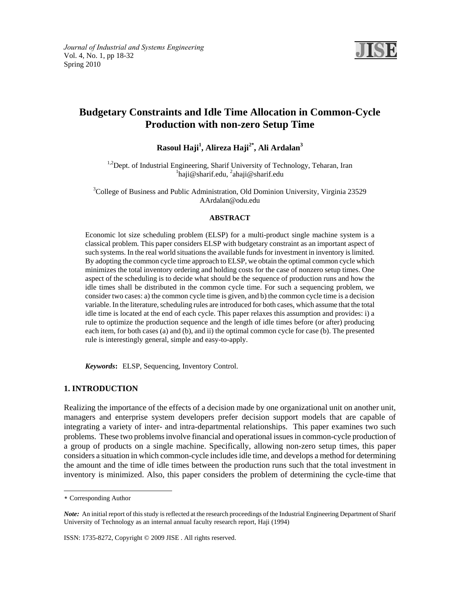

# **Budgetary Constraints and Idle Time Allocation in Common-Cycle Production with non-zero Setup Time**

**Rasoul Haji<sup>1</sup> , Alireza Haji2\*, Ali Ardalan3** 

<sup>1,2</sup>Dept. of Industrial Engineering, Sharif University of Technology, Teharan, Iran haji@sharif.edu, <sup>2</sup>ahaji@sharif.edu

<sup>3</sup>College of Business and Public Administration, Old Dominion University, Virginia 23529 AArdalan@odu.edu

#### **ABSTRACT**

Economic lot size scheduling problem (ELSP) for a multi-product single machine system is a classical problem. This paper considers ELSP with budgetary constraint as an important aspect of such systems. In the real world situations the available funds for investment in inventory is limited. By adopting the common cycle time approach to ELSP, we obtain the optimal common cycle which minimizes the total inventory ordering and holding costs for the case of nonzero setup times. One aspect of the scheduling is to decide what should be the sequence of production runs and how the idle times shall be distributed in the common cycle time. For such a sequencing problem, we consider two cases: a) the common cycle time is given, and b) the common cycle time is a decision variable. In the literature, scheduling rules are introduced for both cases, which assume that the total idle time is located at the end of each cycle. This paper relaxes this assumption and provides: i) a rule to optimize the production sequence and the length of idle times before (or after) producing each item, for both cases (a) and (b), and ii) the optimal common cycle for case (b). The presented rule is interestingly general, simple and easy-to-apply.

*Keywords***:** ELSP, Sequencing, Inventory Control.

## **1. INTRODUCTION**

Realizing the importance of the effects of a decision made by one organizational unit on another unit, managers and enterprise system developers prefer decision support models that are capable of integrating a variety of inter- and intra-departmental relationships. This paper examines two such problems. These two problems involve financial and operational issues in common-cycle production of a group of products on a single machine. Specifically, allowing non-zero setup times, this paper considers a situation in which common-cycle includes idle time, and develops a method for determining the amount and the time of idle times between the production runs such that the total investment in inventory is minimized. Also, this paper considers the problem of determining the cycle-time that

÷

<sup>\*</sup> Corresponding Author

*Note:* An initial report of this study is reflected at the research proceedings of the Industrial Engineering Department of Sharif University of Technology as an internal annual faculty research report, Haji (1994)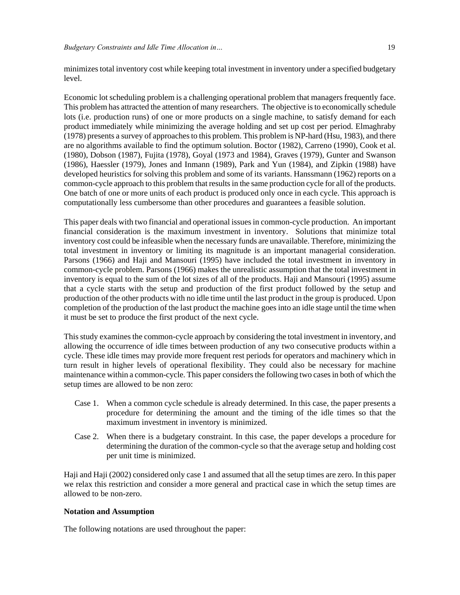minimizes total inventory cost while keeping total investment in inventory under a specified budgetary level.

Economic lot scheduling problem is a challenging operational problem that managers frequently face. This problem has attracted the attention of many researchers. The objective is to economically schedule lots (i.e. production runs) of one or more products on a single machine, to satisfy demand for each product immediately while minimizing the average holding and set up cost per period. Elmaghraby (1978) presents a survey of approaches to this problem. This problem is NP-hard (Hsu, 1983), and there are no algorithms available to find the optimum solution. Boctor (1982), Carreno (1990), Cook et al. (1980), Dobson (1987), Fujita (1978), Goyal (1973 and 1984), Graves (1979), Gunter and Swanson (1986), Haessler (1979), Jones and Inmann (1989), Park and Yun (1984), and Zipkin (1988) have developed heuristics for solving this problem and some of its variants. Hanssmann (1962) reports on a common-cycle approach to this problem that results in the same production cycle for all of the products. One batch of one or more units of each product is produced only once in each cycle. This approach is computationally less cumbersome than other procedures and guarantees a feasible solution.

This paper deals with two financial and operational issues in common-cycle production. An important financial consideration is the maximum investment in inventory. Solutions that minimize total inventory cost could be infeasible when the necessary funds are unavailable. Therefore, minimizing the total investment in inventory or limiting its magnitude is an important managerial consideration. Parsons (1966) and Haji and Mansouri (1995) have included the total investment in inventory in common-cycle problem. Parsons (1966) makes the unrealistic assumption that the total investment in inventory is equal to the sum of the lot sizes of all of the products. Haji and Mansouri (1995) assume that a cycle starts with the setup and production of the first product followed by the setup and production of the other products with no idle time until the last product in the group is produced. Upon completion of the production of the last product the machine goes into an idle stage until the time when it must be set to produce the first product of the next cycle.

This study examines the common-cycle approach by considering the total investment in inventory, and allowing the occurrence of idle times between production of any two consecutive products within a cycle. These idle times may provide more frequent rest periods for operators and machinery which in turn result in higher levels of operational flexibility. They could also be necessary for machine maintenance within a common-cycle. This paper considers the following two cases in both of which the setup times are allowed to be non zero:

- Case 1. When a common cycle schedule is already determined. In this case, the paper presents a procedure for determining the amount and the timing of the idle times so that the maximum investment in inventory is minimized.
- Case 2. When there is a budgetary constraint. In this case, the paper develops a procedure for determining the duration of the common-cycle so that the average setup and holding cost per unit time is minimized.

Haji and Haji (2002) considered only case 1 and assumed that all the setup times are zero. In this paper we relax this restriction and consider a more general and practical case in which the setup times are allowed to be non-zero.

## **Notation and Assumption**

The following notations are used throughout the paper: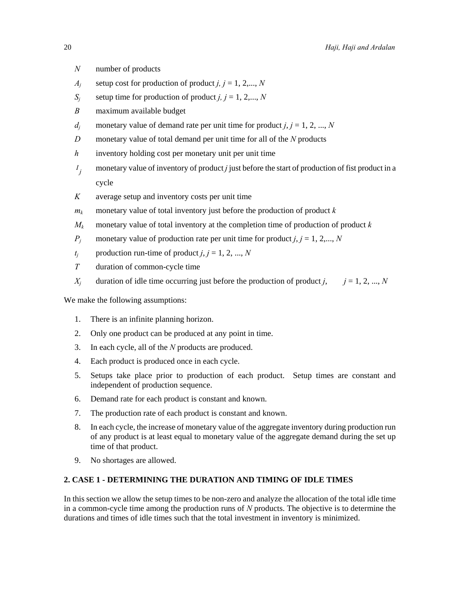- *N* number of products
- $A_i$  setup cost for production of product *j, j* = 1, 2,..., *N*
- $S_i$  setup time for production of product *j, j* = 1, 2,..., *N*
- *B* maximum available budget
- *d<sub>i</sub>* monetary value of demand rate per unit time for product  $j, j = 1, 2, ..., N$
- *D* monetary value of total demand per unit time for all of the *N* products
- *h* inventory holding cost per monetary unit per unit time
- $I_i$ *<sup>j</sup>* monetary value of inventory of product *j* just before the start of production of fist product in a cycle
- *K* average setup and inventory costs per unit time
- $m_k$  monetary value of total inventory just before the production of product  $k$
- $M_k$  monetary value of total inventory at the completion time of production of product  $k$
- *P<sub>j</sub>* monetary value of production rate per unit time for product  $j, j = 1, 2,..., N$
- *t<sub>j</sub>* production run-time of product  $j, j = 1, 2, ..., N$
- *T* duration of common-cycle time
- *X<sub>j</sub>* duration of idle time occurring just before the production of product *j*,  $j = 1, 2, ..., N$

We make the following assumptions:

- 1. There is an infinite planning horizon.
- 2. Only one product can be produced at any point in time.
- 3. In each cycle, all of the *N* products are produced.
- 4. Each product is produced once in each cycle.
- 5. Setups take place prior to production of each product. Setup times are constant and independent of production sequence.
- 6. Demand rate for each product is constant and known.
- 7. The production rate of each product is constant and known.
- 8. In each cycle, the increase of monetary value of the aggregate inventory during production run of any product is at least equal to monetary value of the aggregate demand during the set up time of that product.
- 9. No shortages are allowed.

# **2. CASE 1 - DETERMINING THE DURATION AND TIMING OF IDLE TIMES**

In this section we allow the setup times to be non-zero and analyze the allocation of the total idle time in a common-cycle time among the production runs of *N* products. The objective is to determine the durations and times of idle times such that the total investment in inventory is minimized.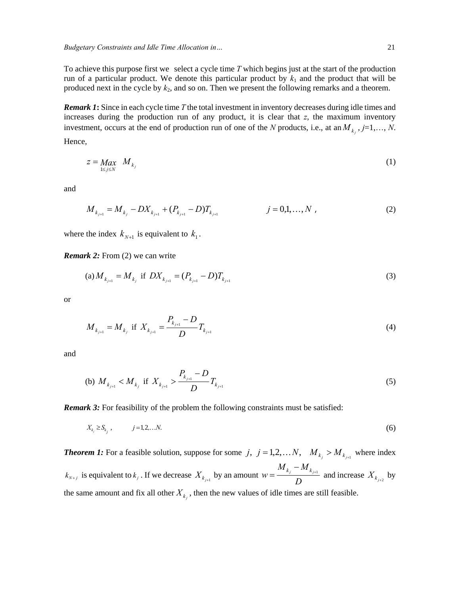To achieve this purpose first we select a cycle time *T* which begins just at the start of the production run of a particular product. We denote this particular product by  $k_1$  and the product that will be produced next in the cycle by  $k_2$ , and so on. Then we present the following remarks and a theorem.

*Remark 1***:** Since in each cycle time *T* the total investment in inventory decreases during idle times and increases during the production run of any product, it is clear that *z*, the maximum inventory investment, occurs at the end of production run of one of the *N* products, i.e., at an  $M_k$ ,  $j=1,..., N$ . Hence,

$$
z = \underset{1 \le j \le N}{Max} \quad M_{k_j} \tag{1}
$$

and

$$
M_{k_{j+1}} = M_{k_j} - DX_{k_{j+1}} + (P_{k_{j+1}} - D)T_{k_{j+1}} \qquad j = 0, 1, ..., N
$$
 (2)

where the index  $k_{N+1}$  is equivalent to  $k_1$ .

*Remark 2:* From (2) we can write

(a) 
$$
M_{k_{j+1}} = M_{k_j}
$$
 if  $DX_{k_{j+1}} = (P_{k_{j+1}} - D)T_{k_{j+1}}$  (3)

or

$$
M_{k_{j+1}} = M_{k_j} \text{ if } X_{k_{j+1}} = \frac{P_{k_{j+1}} - D}{D} T_{k_{j+1}}
$$
 (4)

and

(b) 
$$
M_{k_{j+1}} < M_{k_j}
$$
 if  $X_{k_{j+1}} > \frac{P_{k_{j+1}} - D}{D} T_{k_{j+1}}$  (5)

**Remark 3:** For feasibility of the problem the following constraints must be satisfied:

$$
X_{k_j} \geq S_{k_j}, \qquad j=1,2,\ldots N. \tag{6}
$$

*Theorem 1:* For a feasible solution, suppose for some j,  $j = 1,2,...N$ ,  $M_{k_j} > M_{k_{j+1}}$  where index  $k_{N+j}$  is equivalent to  $k_j$ . If we decrease  $X_{k_{j+1}}$  by an amount  $w = \frac{k_j}{D}$  $W = \frac{M_{k_j} - M_{k_{j+1}}}{D}$  and increase  $X_{k_{j+2}}$  by the same amount and fix all other  $X_{k}$ , then the new values of idle times are still feasible.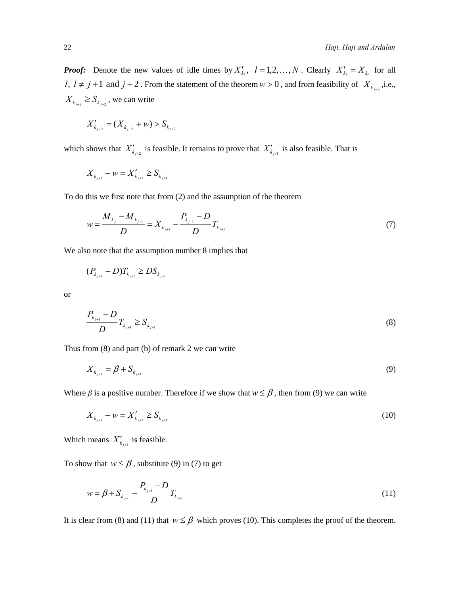*Proof:* Denote the new values of idle times by  $X'_{k_l}$ ,  $l = 1, 2, ..., N$ . Clearly  $X'_{k_l} = X_{k_l}$  for all *l*,  $l \neq j+1$  and  $j+2$ . From the statement of the theorem  $w > 0$ , and from feasibility of  $X_{k_{j+2}}$ , i.e.,  $X_{k_{i+2}} \geq S_{k_{i+2}}$ , we can write

$$
X'_{k_{j+2}} = (X_{k_{j+2}} + w) > S_{k_{j+2}}
$$

which shows that  $X'_{k_{i+2}}$  is feasible. It remains to prove that  $X'_{k_{i+1}}$  is also feasible. That is

$$
X_{k_{j+1}} - w = X'_{k_{j+1}} \geq S_{k_{j+1}}
$$

To do this we first note that from (2) and the assumption of the theorem

$$
w = \frac{M_{k_j} - M_{k_{j+1}}}{D} = X_{k_{j+1}} - \frac{P_{k_{j+1}} - D}{D} T_{k_{j+1}}
$$
\n(7)

We also note that the assumption number 8 implies that

$$
(P_{k_{j+1}} - D)T_{k_{j+1}} \ge DS_{k_{j+1}}
$$

or

$$
\frac{P_{k_{j+1}} - D}{D} T_{k_{j+1}} \ge S_{k_{j+1}}
$$
 (8)

Thus from (8) and part (b) of remark 2 we can write

$$
X_{k_{j+1}} = \beta + S_{k_{j+1}}
$$
\n(9)

Where  $\beta$  is a positive number. Therefore if we show that  $w \leq \beta$ , then from (9) we can write

$$
X_{k_{j+1}} - w = X'_{k_{j+1}} \ge S_{k_{j+1}}
$$
\n<sup>(10)</sup>

Which means  $X'_{k_{j+1}}$  is feasible.

To show that  $w \leq \beta$ , substitute (9) in (7) to get

$$
w = \beta + S_{k_{j+1}} - \frac{P_{k_{j+1}} - D}{D} T_{k_{j+1}}
$$
\n(11)

It is clear from (8) and (11) that  $w \leq \beta$  which proves (10). This completes the proof of the theorem.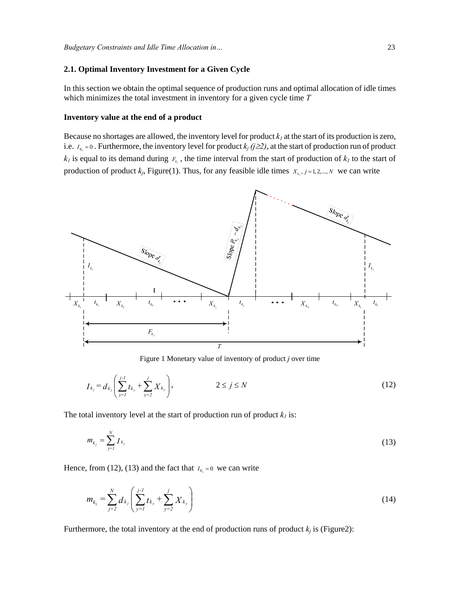#### **2.1. Optimal Inventory Investment for a Given Cycle**

In this section we obtain the optimal sequence of production runs and optimal allocation of idle times which minimizes the total investment in inventory for a given cycle time *T*

#### **Inventory value at the end of a product**

Because no shortages are allowed, the inventory level for product  $k_l$  at the start of its production is zero, i.e.  $I_{K_1} = 0$ . Furthermore, the inventory level for product  $k_j$  ( $j \ge 2$ ), at the start of production run of product  $k_l$  is equal to its demand during  $F_{k_l}$ , the time interval from the start of production of  $k_l$  to the start of production of product  $k_j$ , Figure(1). Thus, for any feasible idle times  $X_{k_j}$ ,  $j = 1, 2, ..., N$  we can write



Figure 1 Monetary value of inventory of product *j* over time

$$
I_{k_j} = d_{k_j} \left( \sum_{y=1}^{j-1} t_{k_y} + \sum_{y=2}^{j} X_{k_y} \right), \qquad \qquad 2 \le j \le N \qquad (12)
$$

The total inventory level at the start of production run of product  $k_l$  is:

$$
m_{k_j} = \sum_{j=1}^{N} I_{k_j}
$$
 (13)

Hence, from (12), (13) and the fact that  $I_{K_1} = 0$  we can write

$$
m_{k_1} = \sum_{j=2}^{N} d_{k_j} \left( \sum_{y=1}^{j-1} t_{k_y} + \sum_{y=2}^{j} X_{k_y} \right)
$$
 (14)

Furthermore, the total inventory at the end of production runs of product  $k_i$  is (Figure2):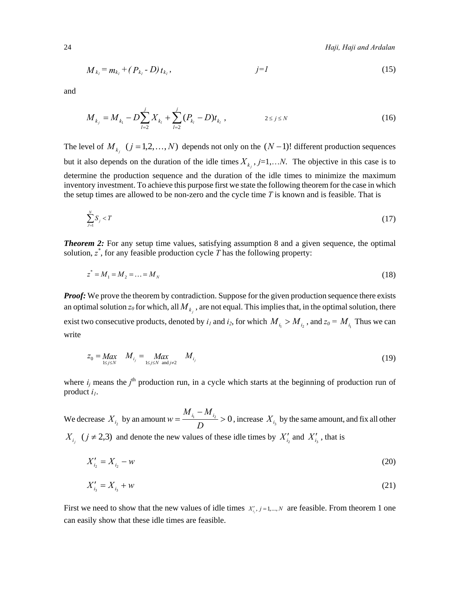24 *Haji, Haji and Ardalan* 

$$
M_{k_l} = m_{k_l} + (P_{k_l} - D) t_{k_l}, \qquad j = l \tag{15}
$$

and

$$
M_{k_j} = M_{k_1} - D \sum_{l=2}^{j} X_{k_l} + \sum_{l=2}^{j} (P_{k_l} - D) t_{k_l}, \qquad 2 \le j \le N
$$
 (16)

The level of  $M_{k_i}$  ( $j = 1, 2, ..., N$ ) depends not only on the  $(N-1)!$  different production sequences but it also depends on the duration of the idle times  $X_{k_i}$ ,  $j=1,...N$ . The objective in this case is to determine the production sequence and the duration of the idle times to minimize the maximum inventory investment. To achieve this purpose first we state the following theorem for the case in which the setup times are allowed to be non-zero and the cycle time *T* is known and is feasible. That is

$$
\sum_{j=1}^{N} S_j < T \tag{17}
$$

**Theorem 2:** For any setup time values, satisfying assumption 8 and a given sequence, the optimal solution,  $z^*$ , for any feasible production cycle  $T$  has the following property:

$$
z^* = M_1 = M_2 = \dots = M_N \tag{18}
$$

*Proof:* We prove the theorem by contradiction. Suppose for the given production sequence there exists an optimal solution  $z_0$  for which, all  $M_{k_i}$ , are not equal. This implies that, in the optimal solution, there exist two consecutive products, denoted by  $i_1$  and  $i_2$ , for which  $M_{i_1} > M_{i_2}$ , and  $z_0 = M_{i_1}$ . Thus we can write

$$
z_0 = \underset{1 \le j \le N}{Max} \quad M_{i_j} = \underset{1 \le j \le N \text{ and } j \ne 2}{Max} \quad M_{i_j} \tag{19}
$$

where  $i_j$  means the  $j^{\text{th}}$  production run, in a cycle which starts at the beginning of production run of product  $i_l$ .

We decrease  $X_{i_2}$  by an amount  $w = \frac{M_{i_1} - M_{i_2}}{D} > 0$  $w = \frac{M_i}{D}$   $\frac{M_i}{D}$  > 0, increase  $X_{i_3}$  by the same amount, and fix all other  $X_{i_j}$  ( $j \neq 2,3$ ) and denote the new values of these idle times by  $X'_{i_2}$  and  $X'_{i_3}$ , that is

$$
X'_{i_2} = X_{i_2} - w \tag{20}
$$

$$
X'_{i_3} = X_{i_3} + w \tag{21}
$$

First we need to show that the new values of idle times  $X'_{i,j}$ ,  $j = 1,..., N$  are feasible. From theorem 1 one can easily show that these idle times are feasible.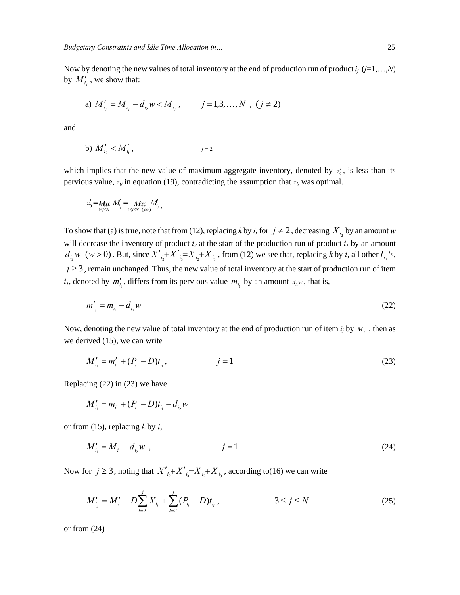Now by denoting the new values of total inventory at the end of production run of product *ij* (*j*=1,…,*N*) by  $M'_{i_j}$ , we show that:

a) 
$$
M'_{i_j} = M_{i_j} - d_{i_2} w < M_{i_j}, \qquad j = 1, 3, \dots, N, (j \neq 2)
$$

and

b) 
$$
M'_{i_2} < M'_{i_1}
$$
,  $j=2$ 

which implies that the new value of maximum aggregate inventory, denoted by  $z'_{0}$ , is less than its pervious value,  $z_0$  in equation (19), contradicting the assumption that  $z_0$  was optimal.

$$
z'_{0} = M_{\text{max}} M_{i} = M_{\text{max}} M_{i}
$$
  

$$
M_{i} = M_{\text{max}} M_{i}
$$

To show that (a) is true, note that from (12), replacing *k* by *i*, for  $j \neq 2$ , decreasing  $X_i$  by an amount *w* will decrease the inventory of product  $i_2$  at the start of the production run of product  $i_1$  by an amount  $d_{i_2}w$  (w > 0). But, since  $X'_{i_2}+X'_{i_3}=X_{i_2}+X_{i_3}$ , from (12) we see that, replacing k by i, all other  $I_{i_1}$ 's,  $j \geq 3$ , remain unchanged. Thus, the new value of total inventory at the start of production run of item  $i_l$ , denoted by  $m'_{i_l}$ , differs from its pervious value  $m_{i_l}$  by an amount  $d_{i_l}w$ , that is,

$$
m'_{i_1} = m_{i_1} - d_{i_2} w \tag{22}
$$

Now, denoting the new value of total inventory at the end of production run of item  $i_j$  by  $M_{i_j}$ , then as we derived (15), we can write

$$
M'_{i_1} = m'_{i_1} + (P_{i_1} - D)t_{i_1}, \qquad j = 1 \tag{23}
$$

Replacing (22) in (23) we have

$$
M'_{i_1} = m_{i_1} + (P_{i_1} - D)t_{i_1} - d_{i_2}w
$$

or from (15), replacing *k* by *i*,

$$
M'_{i_1} = M_{i_1} - d_{i_2} w \t\t(24)
$$

Now for  $j \geq 3$ , noting that  $X'_{i_2} + X'_{i_3} = X_{i_2} + X_{i_3}$ , according to(16) we can write

$$
M'_{i_j} = M'_{i_1} - D \sum_{l=2}^{j} X_{i_l} + \sum_{l=2}^{j} (P_{i_l} - D) t_{i_l}, \qquad 3 \le j \le N \qquad (25)
$$

or from (24)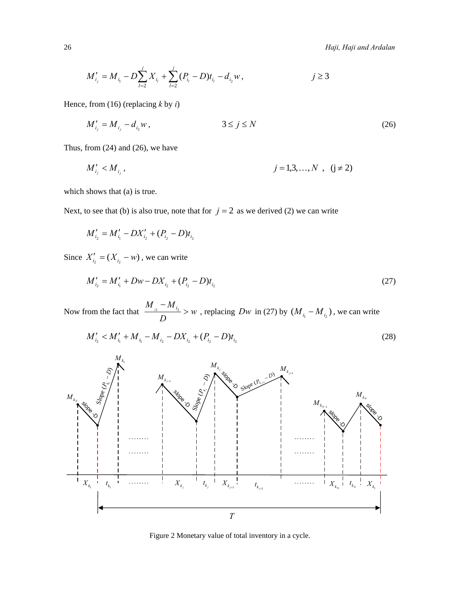$$
M'_{i_j} = M_{i_1} - D \sum_{l=2}^{j} X_{i_l} + \sum_{l=2}^{j} (P_{i_l} - D) t_{i_l} - d_{i_2} w, \qquad j \ge 3
$$

Hence, from (16) (replacing *k* by *i*)

$$
M'_{i_j} = M_{i_j} - d_{i_2} w, \qquad 3 \le j \le N \tag{26}
$$

Thus, from (24) and (26), we have

$$
M'_{i_j} < M_{i_j}, \qquad j = 1, 3, \dots, N \quad (j \neq 2)
$$

which shows that (a) is true.

Next, to see that (b) is also true, note that for  $j = 2$  as we derived (2) we can write

$$
M'_{i_2} = M'_{i_1} - DX'_{i_2} + (P_{i_2} - D)t_{i_2}
$$

Since  $X'_{i_2} = (X_{i_2} - w)$ , we can write

$$
M'_{i_2} = M'_{i_1} + Dw - DX_{i_2} + (P_{i_2} - D)t_{i_2}
$$
\n(27)

Now from the fact that  $\frac{w}{x}$  is  $\frac{w}{x} > w$  $\frac{M_{i_1} - M_{i_2}}{D}$  > *w*, replacing *Dw* in (27) by  $(M_{i_1} - M_{i_2})$ , we can write

$$
M'_{i_2} < M'_{i_1} + M_{i_1} - M_{i_2} - DX_{i_2} + (P_{i_2} - D)t_{i_2} \tag{28}
$$



Figure 2 Monetary value of total inventory in a cycle.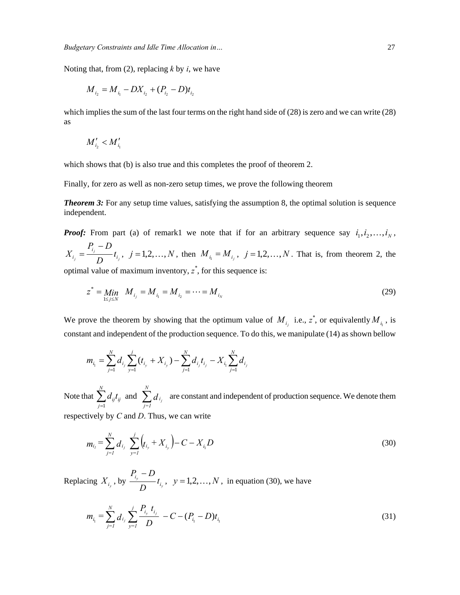Noting that, from (2), replacing *k* by *i*, we have

$$
M_{i_2} = M_{i_1} - DX_{i_2} + (P_{i_2} - D)t_{i_2}
$$

which implies the sum of the last four terms on the right hand side of (28) is zero and we can write (28) as

$$
M'_{i_2} < M'_{i_1}
$$

which shows that (b) is also true and this completes the proof of theorem 2.

Finally, for zero as well as non-zero setup times, we prove the following theorem

*Theorem 3:* For any setup time values, satisfying the assumption 8, the optimal solution is sequence independent.

*Proof:* From part (a) of remark1 we note that if for an arbitrary sequence say  $i_1, i_2, \ldots, i_N$ , *j*  $\frac{1}{i} = \frac{t_j}{D} t_i$  $i_j = \frac{I_{i_j} + D}{D}t$  $X_{i_j} = \frac{P_{i_j} - D}{D} t_{i_j}$ ,  $j = 1, 2, ..., N$ , then  $M_{i_1} = M_{i_j}$ ,  $j = 1, 2, ..., N$ . That is, from theorem 2, the optimal value of maximum inventory, *z \** , for this sequence is:

$$
z^* = \lim_{1 \le j \le N} M_{i_j} = M_{i_1} = M_{i_2} = \dots = M_{i_N}
$$
 (29)

We prove the theorem by showing that the optimum value of  $M_{i_j}$  i.e.,  $z^*$ , or equivalently  $M_{i_1}$ , is constant and independent of the production sequence. To do this, we manipulate (14) as shown bellow

$$
m_{i_1} = \sum_{j=1}^{N} d_{i_j} \sum_{y=1}^{j} (t_{i_y} + X_{i_y}) - \sum_{j=1}^{N} d_{i_j} t_{i_j} - X_{i_1} \sum_{j=1}^{N} d_{i_j}
$$

Note that 1 *N ij ij j*  $d_{ii}t$  $\sum_{j=1}^{N} d_{ij} t_{ij}$  and  $\sum_{j=1}^{N} d_{i_j}$ *i*  $\sum_{j=1} d_{i_j}$  are constant and independent of production sequence. We denote them respectively by *C* and *D*. Thus, we can write

$$
m_{i_1} = \sum_{j=1}^{N} d_{i_j} \sum_{y=1}^{j} \left( t_{i_y} + X_{i_y} \right) - C - X_{i_1} D \tag{30}
$$

Replacing  $X_{i_y}$ , by  $\frac{i_y}{D_i}$  $\frac{i_y}{\sqrt{t}}$ *D*  $P_{i_y} - D$ <br>*t<sub>i</sub>*, *y* = 1,2, ..., *N*, in equation (30), we have

$$
m_{i_1} = \sum_{j=1}^{N} d_{i_j} \sum_{y=1}^{j} \frac{P_{i_y} t_{i_j}}{D} - C - (P_{i_1} - D) t_{i_1}
$$
 (31)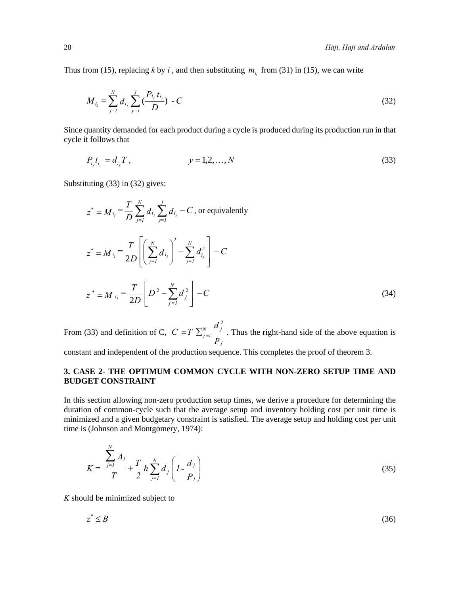Thus from (15), replacing *k* by *i*, and then substituting  $m_i$  from (31) in (15), we can write

$$
M_{i_1} = \sum_{j=1}^{N} d_{i_j} \sum_{y=1}^{j} \left( \frac{P_{i_y} t_{i_y}}{D} \right) - C \tag{32}
$$

Since quantity demanded for each product during a cycle is produced during its production run in that cycle it follows that

$$
P_{i_y} t_{i_y} = d_{i_y} T , \qquad \qquad y = 1, 2, ..., N \qquad (33)
$$

Substituting (33) in (32) gives:

$$
z^* = M_{i_l} = \frac{T}{D} \sum_{j=1}^N d_{i_j} \sum_{y=1}^j d_{i_y} - C, \text{ or equivalently}
$$
  
\n
$$
z^* = M_{i_l} = \frac{T}{2D} \left[ \left( \sum_{j=1}^N d_{i_j} \right)^2 - \sum_{j=1}^N d_{i_j}^2 \right] - C
$$
  
\n
$$
z^* = M_{i_l} = \frac{T}{2D} \left[ D^2 - \sum_{j=1}^N d_j^2 \right] - C
$$
 (34)

From (33) and definition of C, 2 *N j*  $j = i$ *j d*  $C = T$  $= T \sum_{j=i}^{N} \frac{p_j}{p_j}$ . Thus the right-hand side of the above equation is

constant and independent of the production sequence. This completes the proof of theorem 3.

# **3. CASE 2- THE OPTIMUM COMMON CYCLE WITH NON-ZERO SETUP TIME AND BUDGET CONSTRAINT**

In this section allowing non-zero production setup times, we derive a procedure for determining the duration of common-cycle such that the average setup and inventory holding cost per unit time is minimized and a given budgetary constraint is satisfied. The average setup and holding cost per unit time is (Johnson and Montgomery, 1974):

$$
K = \frac{\sum_{j=1}^{N} A_j}{T} + \frac{T}{2} h \sum_{j=1}^{N} d_j \left( I - \frac{d_j}{P_j} \right)
$$
(35)

*K* should be minimized subject to

*N*

$$
z^* \leq B \tag{36}
$$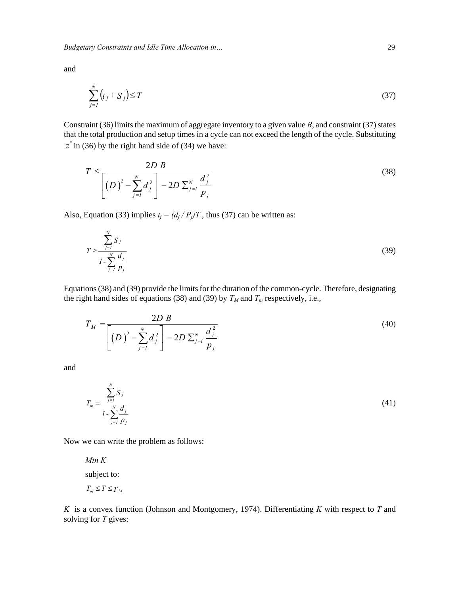*Budgetary Constraints and Idle Time Allocation in…* 29

and

$$
\sum_{j=1}^{N} (t_j + S_j) \le T \tag{37}
$$

Constraint (36) limits the maximum of aggregate inventory to a given value *B*, and constraint (37) states that the total production and setup times in a cycle can not exceed the length of the cycle. Substituting  $z^*$  in (36) by the right hand side of (34) we have:

$$
T \le \frac{2D B}{\left[ (D)^2 - \sum_{j=1}^N d_j^2 \right] - 2D \sum_{j=i}^N \frac{d_j^2}{p_j}}
$$
(38)

Also, Equation (33) implies  $t_i = (d_i/P_i)T$ , thus (37) can be written as:

$$
T \ge \frac{\sum_{j=1}^{N} S_j}{1 - \sum_{j=1}^{N} \frac{d_j}{p_j}}
$$
(39)

Equations (38) and (39) provide the limits for the duration of the common-cycle. Therefore, designating the right hand sides of equations (38) and (39) by  $T_M$  and  $T_m$  respectively, i.e.,

$$
T_M = \frac{2D B}{\left[ (D)^2 - \sum_{j=1}^N d_j^2 \right] - 2D \sum_{j=i}^N \frac{d_j^2}{p_j}}
$$
(40)

and

$$
T_m = \frac{\sum_{j=1}^{N} S_j}{\sum_{j=1}^{N} \frac{d_j}{p_j}}
$$
(41)

Now we can write the problem as follows:

*Min K*

subject to:

$$
T_m \leq T \leq T_M
$$

*K* is a convex function (Johnson and Montgomery, 1974). Differentiating *K* with respect to *T* and solving for *T* gives: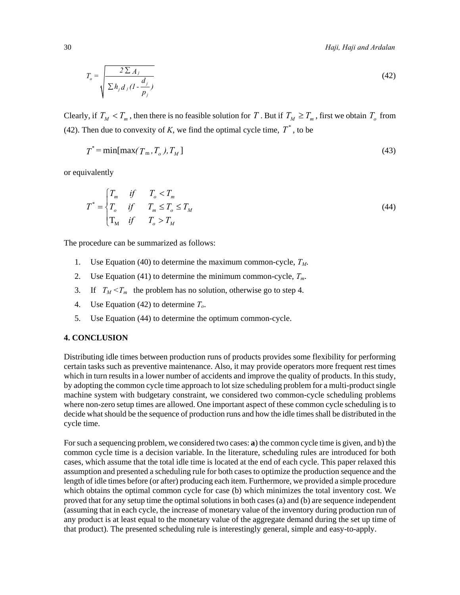30 *Haji, Haji and Ardalan* 

$$
T_o = \sqrt{\frac{2 \sum A_j}{\sum h_j d_j (1 - \frac{d_j}{p_j})}}
$$
(42)

Clearly, if  $T_M < T_m$ , then there is no feasible solution for *T*. But if  $T_M \ge T_m$ , first we obtain  $T_o$  from (42). Then due to convexity of  $K$ , we find the optimal cycle time,  $T^*$ , to be

$$
T^* = \min[\max(T_m, T_o), T_M]
$$
\n(43)

or equivalently

$$
T^* = \begin{cases} T_m & \text{if} & T_o < T_m \\ T_o & \text{if} & T_m \le T_o \le T_M \\ T_M & \text{if} & T_o > T_M \end{cases} \tag{44}
$$

The procedure can be summarized as follows:

- 1. Use Equation (40) to determine the maximum common-cycle,  $T_M$ .
- 2. Use Equation (41) to determine the minimum common-cycle,  $T_m$ .
- 3. If  $T_M < T_m$  the problem has no solution, otherwise go to step 4.
- 4. Use Equation (42) to determine *To*.
- 5. Use Equation (44) to determine the optimum common-cycle.

#### **4. CONCLUSION**

Distributing idle times between production runs of products provides some flexibility for performing certain tasks such as preventive maintenance. Also, it may provide operators more frequent rest times which in turn results in a lower number of accidents and improve the quality of products. In this study, by adopting the common cycle time approach to lot size scheduling problem for a multi-product single machine system with budgetary constraint, we considered two common-cycle scheduling problems where non-zero setup times are allowed. One important aspect of these common cycle scheduling is to decide what should be the sequence of production runs and how the idle times shall be distributed in the cycle time.

For such a sequencing problem, we considered two cases: **a**) the common cycle time is given, and b) the common cycle time is a decision variable. In the literature, scheduling rules are introduced for both cases, which assume that the total idle time is located at the end of each cycle. This paper relaxed this assumption and presented a scheduling rule for both cases to optimize the production sequence and the length of idle times before (or after) producing each item. Furthermore, we provided a simple procedure which obtains the optimal common cycle for case (b) which minimizes the total inventory cost. We proved that for any setup time the optimal solutions in both cases (a) and (b) are sequence independent (assuming that in each cycle, the increase of monetary value of the inventory during production run of any product is at least equal to the monetary value of the aggregate demand during the set up time of that product). The presented scheduling rule is interestingly general, simple and easy-to-apply.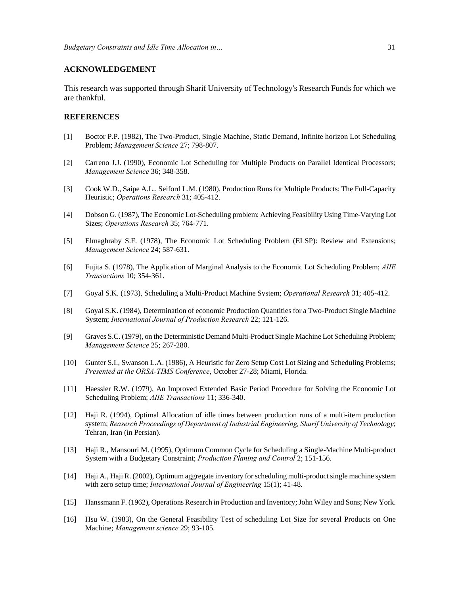#### **ACKNOWLEDGEMENT**

This research was supported through Sharif University of Technology's Research Funds for which we are thankful.

#### **REFERENCES**

- [1] Boctor P.P. (1982), The Two-Product, Single Machine, Static Demand, Infinite horizon Lot Scheduling Problem; *Management Science* 27; 798-807.
- [2] Carreno J.J. (1990), Economic Lot Scheduling for Multiple Products on Parallel Identical Processors; *Management Science* 36; 348-358.
- [3] Cook W.D., Saipe A.L., Seiford L.M. (1980), Production Runs for Multiple Products: The Full-Capacity Heuristic; *Operations Research* 31; 405-412.
- [4] Dobson G. (1987), The Economic Lot-Scheduling problem: Achieving Feasibility Using Time-Varying Lot Sizes; *Operations Research* 35; 764-771.
- [5] Elmaghraby S.F. (1978), The Economic Lot Scheduling Problem (ELSP): Review and Extensions; *Management Science* 24; 587-631.
- [6] Fujita S. (1978), The Application of Marginal Analysis to the Economic Lot Scheduling Problem; *AIIE Transactions* 10; 354-361.
- [7] Goyal S.K. (1973), Scheduling a Multi-Product Machine System; *Operational Research* 31; 405-412.
- [8] Goyal S.K. (1984), Determination of economic Production Quantities for a Two-Product Single Machine System; *International Journal of Production Research* 22; 121-126.
- [9] Graves S.C. (1979), on the Deterministic Demand Multi-Product Single Machine Lot Scheduling Problem; *Management Science* 25; 267-280.
- [10] Gunter S.I., Swanson L.A. (1986), A Heuristic for Zero Setup Cost Lot Sizing and Scheduling Problems; *Presented at the ORSA-TIMS Conference*, October 27-28; Miami, Florida.
- [11] Haessler R.W. (1979), An Improved Extended Basic Period Procedure for Solving the Economic Lot Scheduling Problem; *AIIE Transactions* 11; 336-340.
- [12] Haji R. (1994), Optimal Allocation of idle times between production runs of a multi-item production system; *Reaserch Proceedings of Department of Industrial Engineering, Sharif University of Technology*; Tehran, Iran (in Persian).
- [13] Haji R., Mansouri M. (1995), Optimum Common Cycle for Scheduling a Single-Machine Multi-product System with a Budgetary Constraint; *Production Planing and Control* 2; 151-156.
- [14] Haji A., Haji R. (2002), Optimum aggregate inventory for scheduling multi-product single machine system with zero setup time; *International Journal of Engineering* 15(1); 41-48*.*
- [15] Hanssmann F. (1962), Operations Research in Production and Inventory; John Wiley and Sons; New York.
- [16] Hsu W. (1983), On the General Feasibility Test of scheduling Lot Size for several Products on One Machine; *Management science* 29; 93-105.